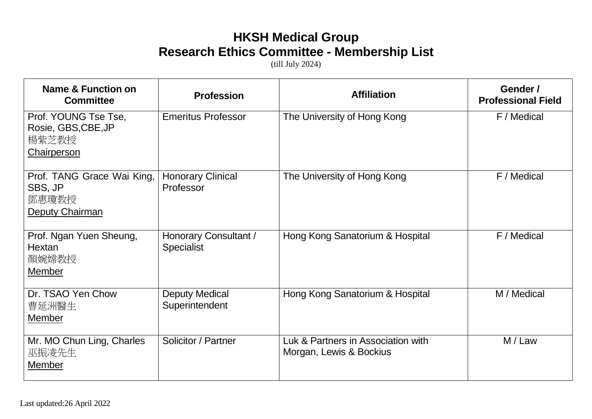## **HKSH Medical Group Research Ethics Committee - Membership List**

(till July 2024)

| Name & Function on<br><b>Committee</b>                                     | <b>Profession</b>                          | <b>Affiliation</b>                                            | Gender /<br><b>Professional Field</b> |
|----------------------------------------------------------------------------|--------------------------------------------|---------------------------------------------------------------|---------------------------------------|
| Prof. YOUNG Tse Tse,<br>Rosie, GBS, CBE, JP<br>楊紫芝教授<br><b>Chairperson</b> | <b>Emeritus Professor</b>                  | The University of Hong Kong                                   | F / Medical                           |
| Prof. TANG Grace Wai King,<br>SBS, JP<br>鄧惠瓊教授<br>Deputy Chairman          | <b>Honorary Clinical</b><br>Professor      | The University of Hong Kong                                   | F / Medical                           |
| Prof. Ngan Yuen Sheung,<br>Hextan<br>顏婉嫦教授<br>Member                       | Honorary Consultant /<br><b>Specialist</b> | Hong Kong Sanatorium & Hospital                               | F / Medical                           |
| Dr. TSAO Yen Chow<br>曹延洲醫生<br>Member                                       | <b>Deputy Medical</b><br>Superintendent    | Hong Kong Sanatorium & Hospital                               | M / Medical                           |
| Mr. MO Chun Ling, Charles<br>巫振凌先生<br>Member                               | Solicitor / Partner                        | Luk & Partners in Association with<br>Morgan, Lewis & Bockius | M / Law                               |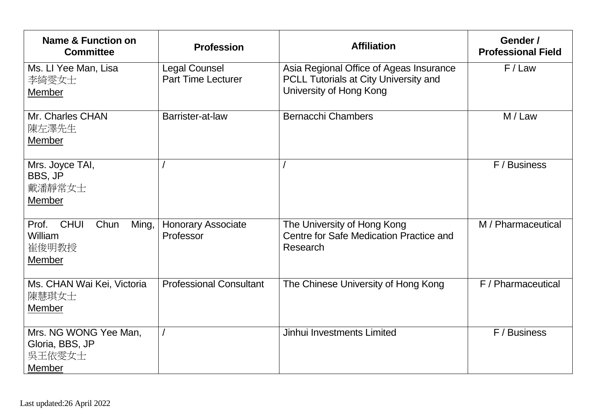| Name & Function on<br><b>Committee</b>                                     | <b>Profession</b>                                 | <b>Affiliation</b>                                                                                          | Gender /<br><b>Professional Field</b> |
|----------------------------------------------------------------------------|---------------------------------------------------|-------------------------------------------------------------------------------------------------------------|---------------------------------------|
| Ms. Ll Yee Man, Lisa<br>李綺雯女士<br><b>Member</b>                             | <b>Legal Counsel</b><br><b>Part Time Lecturer</b> | Asia Regional Office of Ageas Insurance<br>PCLL Tutorials at City University and<br>University of Hong Kong | F/Law                                 |
| Mr. Charles CHAN<br>陳左澤先生<br>Member                                        | Barrister-at-law                                  | <b>Bernacchi Chambers</b>                                                                                   | M / Law                               |
| Mrs. Joyce TAI,<br>BBS, JP<br>戴潘靜常女士<br><b>Member</b>                      |                                                   |                                                                                                             | F / Business                          |
| <b>CHUI</b><br>Chun<br>Ming,<br>Prof.<br>William<br>崔俊明教授<br><b>Member</b> | <b>Honorary Associate</b><br>Professor            | The University of Hong Kong<br>Centre for Safe Medication Practice and<br>Research                          | M / Pharmaceutical                    |
| Ms. CHAN Wai Kei, Victoria<br>陳慧琪女士<br>Member                              | <b>Professional Consultant</b>                    | The Chinese University of Hong Kong                                                                         | F / Pharmaceutical                    |
| Mrs. NG WONG Yee Man.<br>Gloria, BBS, JP<br>吳王依雯女士<br>Member               |                                                   | Jinhui Investments Limited                                                                                  | F / Business                          |